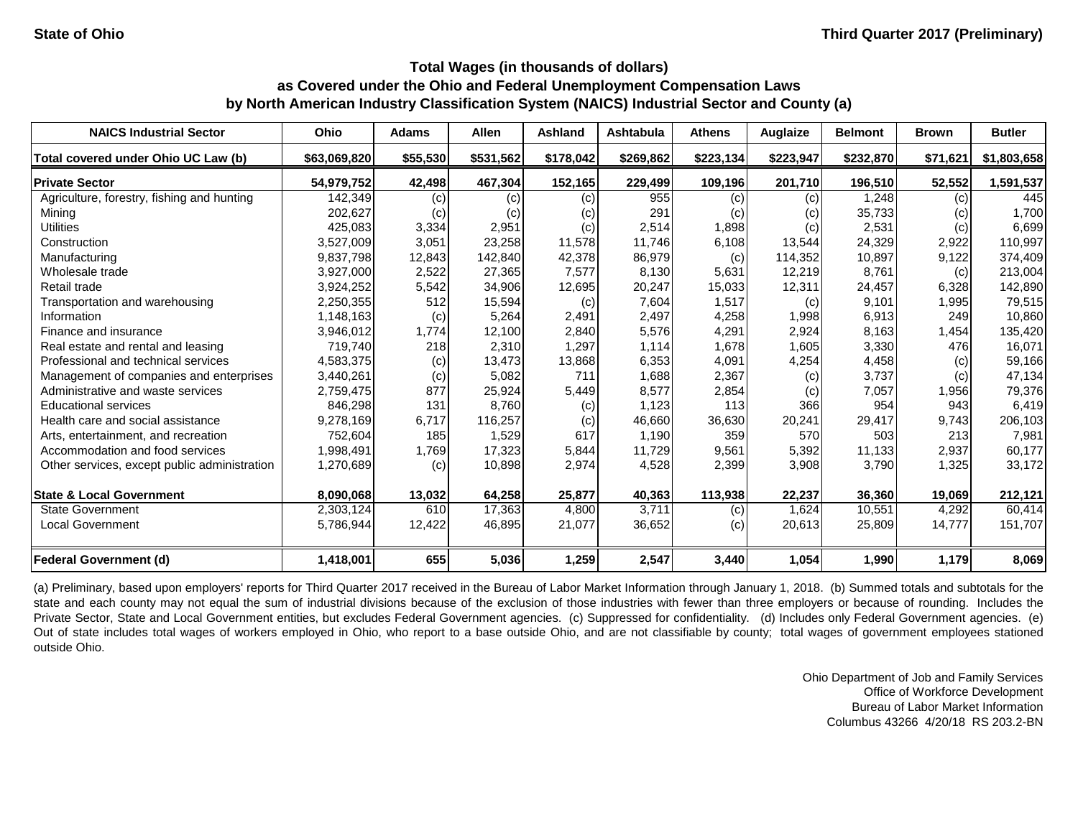| <b>NAICS Industrial Sector</b>               | Ohio         | <b>Adams</b> | <b>Allen</b> | <b>Ashland</b> | <b>Ashtabula</b> | <b>Athens</b> | Auglaize  | <b>Belmont</b> | <b>Brown</b> | <b>Butler</b> |
|----------------------------------------------|--------------|--------------|--------------|----------------|------------------|---------------|-----------|----------------|--------------|---------------|
| Total covered under Ohio UC Law (b)          | \$63,069,820 | \$55,530     | \$531,562    | \$178,042      | \$269,862        | \$223,134     | \$223,947 | \$232,870      | \$71,621     | \$1,803,658   |
| <b>Private Sector</b>                        | 54,979,752   | 42,498       | 467,304      | 152,165        | 229,499          | 109,196       | 201,710   | 196,510        | 52,552       | 1,591,537     |
| Agriculture, forestry, fishing and hunting   | 142,349      | (c)          | (c)          | (c)            | 955              | (c)           | (c)       | 1,248          | (c)          | 445           |
| Mining                                       | 202,627      | (c)          | (c)          | (c)            | 291              | (c)           | (c)       | 35,733         | (c)          | 1,700         |
| <b>Utilities</b>                             | 425,083      | 3,334        | 2,951        | (c)            | 2,514            | 1,898         | (c)       | 2,531          | (c)          | 6,699         |
| Construction                                 | 3,527,009    | 3,051        | 23,258       | 11,578         | 11,746           | 6,108         | 13,544    | 24,329         | 2,922        | 110,997       |
| Manufacturing                                | 9,837,798    | 12,843       | 142,840      | 42,378         | 86,979           | (c)           | 114,352   | 10,897         | 9,122        | 374,409       |
| Wholesale trade                              | 3,927,000    | 2,522        | 27,365       | 7,577          | 8,130            | 5,631         | 12,219    | 8,761          | (c)          | 213,004       |
| Retail trade                                 | 3,924,252    | 5,542        | 34,906       | 12,695         | 20,247           | 15,033        | 12,311    | 24,457         | 6,328        | 142,890       |
| Transportation and warehousing               | 2,250,355    | 512          | 15,594       | (c)            | 7,604            | 1,517         | (c)       | 9,101          | 1,995        | 79,515        |
| Information                                  | 1,148,163    | (c)          | 5,264        | 2,491          | 2,497            | 4,258         | 1,998     | 6,913          | 249          | 10,860        |
| Finance and insurance                        | 3,946,012    | 1,774        | 12,100       | 2,840          | 5,576            | 4,291         | 2,924     | 8,163          | 1,454        | 135,420       |
| Real estate and rental and leasing           | 719,740      | 218          | 2,310        | 1,297          | 1,114            | 1,678         | 1,605     | 3,330          | 476          | 16,071        |
| Professional and technical services          | 4,583,375    | (c)          | 13,473       | 13,868         | 6,353            | 4,091         | 4,254     | 4,458          | (c)          | 59,166        |
| Management of companies and enterprises      | 3,440,261    | (c)          | 5,082        | 711            | 1,688            | 2,367         | (c)       | 3,737          | (c)          | 47,134        |
| Administrative and waste services            | 2,759,475    | 877          | 25,924       | 5,449          | 8,577            | 2,854         | (c)       | 7,057          | 1,956        | 79,376        |
| <b>Educational services</b>                  | 846,298      | 131          | 8,760        | (c)            | 1,123            | 113           | 366       | 954            | 943          | 6,419         |
| Health care and social assistance            | 9,278,169    | 6,717        | 116,257      | (c)            | 46,660           | 36,630        | 20,241    | 29,417         | 9,743        | 206,103       |
| Arts, entertainment, and recreation          | 752,604      | 185          | 1,529        | 617            | 1,190            | 359           | 570       | 503            | 213          | 7,981         |
| Accommodation and food services              | 1,998,491    | 1,769        | 17,323       | 5,844          | 11,729           | 9,561         | 5,392     | 11,133         | 2,937        | 60,177        |
| Other services, except public administration | 1,270,689    | (c)          | 10,898       | 2,974          | 4,528            | 2,399         | 3,908     | 3,790          | 1,325        | 33,172        |
| <b>State &amp; Local Government</b>          | 8,090,068    | 13,032       | 64,258       | 25,877         | 40,363           | 113,938       | 22,237    | 36,360         | 19,069       | 212,121       |
| <b>State Government</b>                      | 2,303,124    | 610          | 17,363       | 4,800          | 3,711            | (c)           | 1,624     | 10,551         | 4,292        | 60,414        |
| <b>Local Government</b>                      | 5,786,944    | 12,422       | 46,895       | 21,077         | 36,652           | (c)           | 20,613    | 25,809         | 14,777       | 151,707       |
| <b>Federal Government (d)</b>                | 1,418,001    | 655          | 5,036        | 1,259          | 2,547            | 3,440         | 1,054     | 1,990          | 1,179        | 8,069         |

(a) Preliminary, based upon employers' reports for Third Quarter 2017 received in the Bureau of Labor Market Information through January 1, 2018. (b) Summed totals and subtotals for the state and each county may not equal the sum of industrial divisions because of the exclusion of those industries with fewer than three employers or because of rounding. Includes the Private Sector, State and Local Government entities, but excludes Federal Government agencies. (c) Suppressed for confidentiality. (d) Includes only Federal Government agencies. (e) Out of state includes total wages of workers employed in Ohio, who report to a base outside Ohio, and are not classifiable by county; total wages of government employees stationed outside Ohio.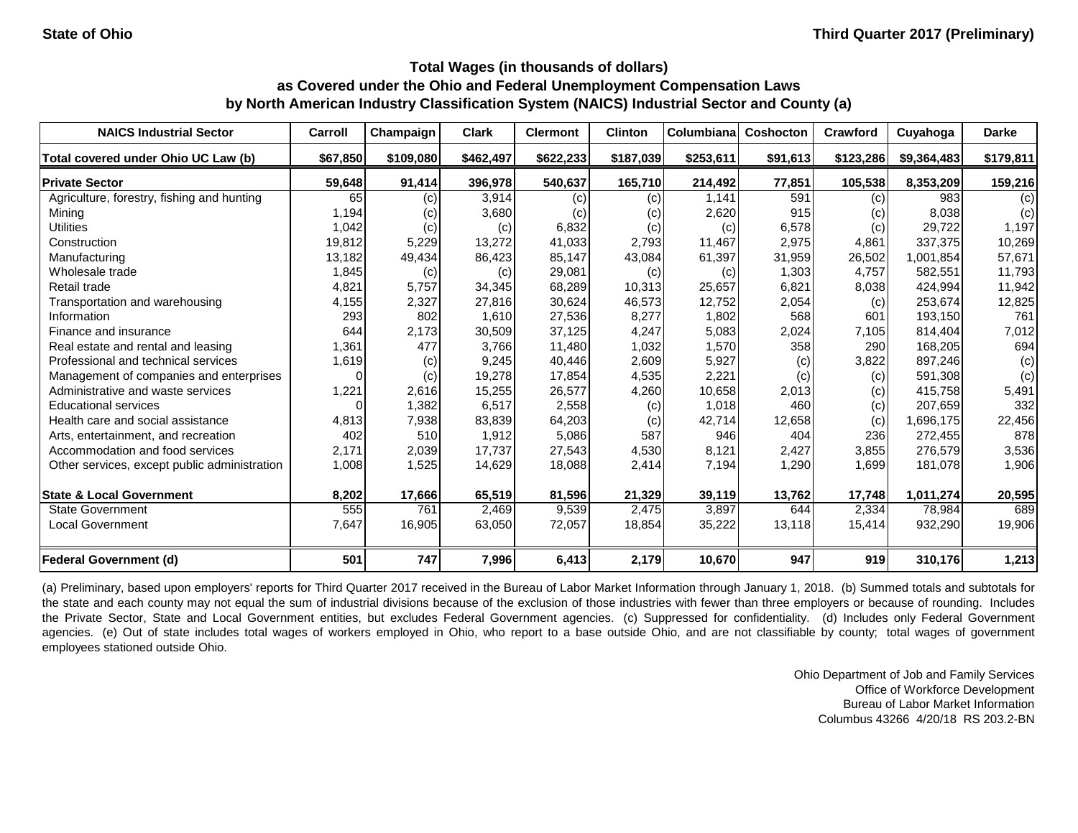| <b>NAICS Industrial Sector</b>               | Carroll  | Champaign | <b>Clark</b> | <b>Clermont</b> | <b>Clinton</b> | Columbiana | <b>Coshocton</b> | Crawford  | Cuyahoga    | <b>Darke</b> |
|----------------------------------------------|----------|-----------|--------------|-----------------|----------------|------------|------------------|-----------|-------------|--------------|
| Total covered under Ohio UC Law (b)          | \$67,850 | \$109,080 | \$462,497    | \$622,233       | \$187,039      | \$253,611  | \$91,613         | \$123,286 | \$9,364,483 | \$179,811    |
| <b>Private Sector</b>                        | 59,648   | 91,414    | 396,978      | 540,637         | 165,710        | 214,492    | 77,851           | 105,538   | 8,353,209   | 159,216      |
| Agriculture, forestry, fishing and hunting   | 65       | (c)       | 3,914        | (c)             | (c)            | 1,141      | 591              | (c)       | 983         | (c)          |
| Mining                                       | 1,194    | (c)       | 3,680        | (c)             | (c)            | 2,620      | 915              | (c)       | 8,038       | (c)          |
| <b>Utilities</b>                             | 1,042    | (c)       | (c)          | 6,832           | (c)            | (c)        | 6,578            | (c)       | 29,722      | 1,197        |
| Construction                                 | 19,812   | 5,229     | 13,272       | 41,033          | 2,793          | 11,467     | 2,975            | 4,861     | 337,375     | 10,269       |
| Manufacturing                                | 13,182   | 49,434    | 86,423       | 85,147          | 43,084         | 61,397     | 31,959           | 26,502    | 1,001,854   | 57,671       |
| Wholesale trade                              | 1,845    | (c)       | (c)          | 29,081          | (c)            | (c)        | 1,303            | 4,757     | 582,551     | 11,793       |
| Retail trade                                 | 4,821    | 5,757     | 34,345       | 68,289          | 10,313         | 25,657     | 6,821            | 8,038     | 424,994     | 11,942       |
| Transportation and warehousing               | 4,155    | 2,327     | 27,816       | 30,624          | 46,573         | 12,752     | 2,054            | (c)       | 253,674     | 12,825       |
| Information                                  | 293      | 802       | 1,610        | 27,536          | 8,277          | 1,802      | 568              | 601       | 193,150     | 761          |
| Finance and insurance                        | 644      | 2,173     | 30,509       | 37,125          | 4,247          | 5,083      | 2,024            | 7,105     | 814,404     | 7,012        |
| Real estate and rental and leasing           | 1,361    | 477       | 3,766        | 11,480          | 1,032          | 1,570      | 358              | 290       | 168,205     | 694          |
| Professional and technical services          | 1,619    | (c)       | 9,245        | 40,446          | 2,609          | 5,927      | (c)              | 3,822     | 897,246     | (c)          |
| Management of companies and enterprises      | 0        | (c)       | 19,278       | 17,854          | 4,535          | 2,221      | (c)              | (c)       | 591,308     | (c)          |
| Administrative and waste services            | 1,221    | 2,616     | 15,255       | 26,577          | 4,260          | 10,658     | 2,013            | (c)       | 415,758     | 5,491        |
| <b>Educational services</b>                  |          | 1,382     | 6,517        | 2,558           | (c)            | 1,018      | 460              | (c)       | 207,659     | 332          |
| Health care and social assistance            | 4,813    | 7,938     | 83,839       | 64,203          | (c)            | 42,714     | 12,658           | (c)       | 1,696,175   | 22,456       |
| Arts, entertainment, and recreation          | 402      | 510       | 1,912        | 5,086           | 587            | 946        | 404              | 236       | 272,455     | 878          |
| Accommodation and food services              | 2,171    | 2,039     | 17,737       | 27,543          | 4,530          | 8,121      | 2,427            | 3,855     | 276,579     | 3,536        |
| Other services, except public administration | 1,008    | 1,525     | 14,629       | 18,088          | 2,414          | 7,194      | 1,290            | 1,699     | 181,078     | 1,906        |
| <b>State &amp; Local Government</b>          | 8,202    | 17,666    | 65,519       | 81,596          | 21,329         | 39,119     | 13,762           | 17,748    | 1,011,274   | 20,595       |
| <b>State Government</b>                      | 555      | 761       | 2,469        | 9,539           | 2,475          | 3,897      | 644              | 2,334     | 78,984      | 689          |
| <b>Local Government</b>                      | 7,647    | 16,905    | 63,050       | 72,057          | 18,854         | 35,222     | 13,118           | 15,414    | 932,290     | 19,906       |
| <b>Federal Government (d)</b>                | 501      | 747       | 7,996        | 6,413           | 2,179          | 10,670     | 947              | 919       | 310,176     | 1,213        |

(a) Preliminary, based upon employers' reports for Third Quarter 2017 received in the Bureau of Labor Market Information through January 1, 2018. (b) Summed totals and subtotals for the state and each county may not equal the sum of industrial divisions because of the exclusion of those industries with fewer than three employers or because of rounding. Includes the Private Sector, State and Local Government entities, but excludes Federal Government agencies. (c) Suppressed for confidentiality. (d) Includes only Federal Government agencies. (e) Out of state includes total wages of workers employed in Ohio, who report to a base outside Ohio, and are not classifiable by county; total wages of government employees stationed outside Ohio.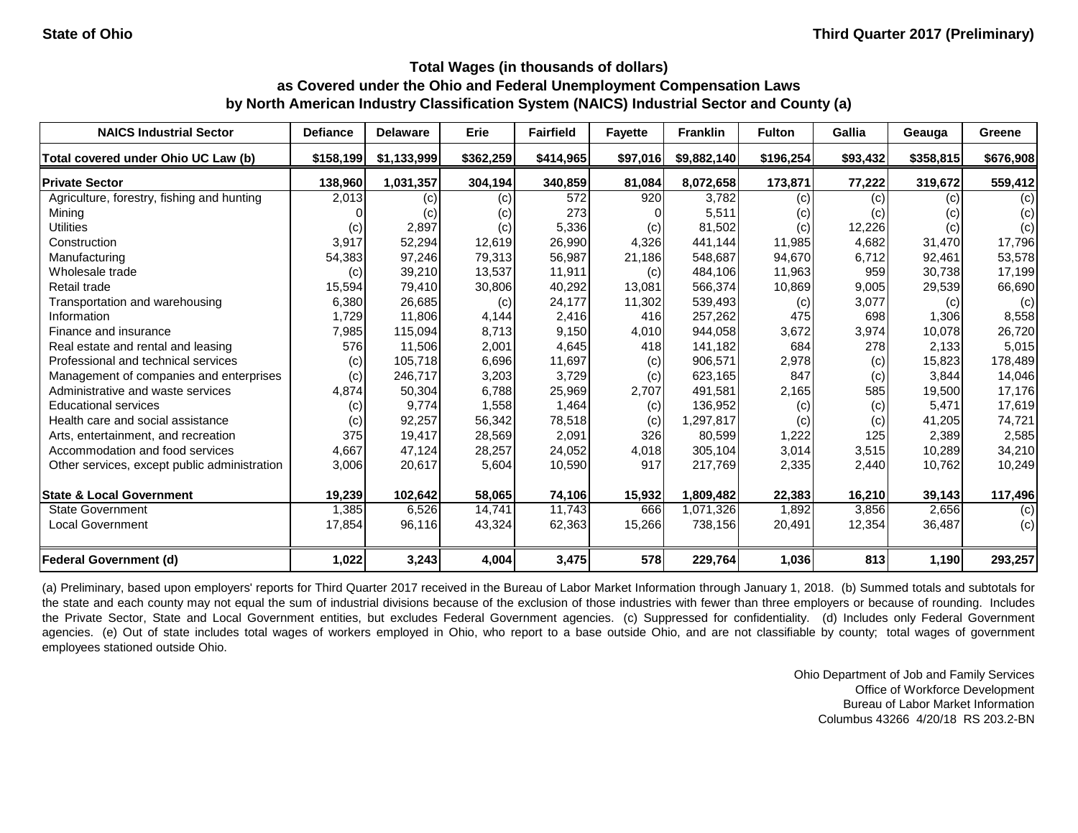| <b>NAICS Industrial Sector</b>               | <b>Defiance</b> | <b>Delaware</b> | Erie      | <b>Fairfield</b> | <b>Fayette</b> | <b>Franklin</b> | <b>Fulton</b> | Gallia   | Geauga    | Greene    |
|----------------------------------------------|-----------------|-----------------|-----------|------------------|----------------|-----------------|---------------|----------|-----------|-----------|
| Total covered under Ohio UC Law (b)          | \$158,199       | \$1,133,999     | \$362,259 | \$414,965        | \$97,016       | \$9,882,140     | \$196,254     | \$93,432 | \$358,815 | \$676,908 |
| <b>Private Sector</b>                        | 138,960         | 1,031,357       | 304,194   | 340,859          | 81,084         | 8,072,658       | 173,871       | 77,222   | 319,672   | 559,412   |
| Agriculture, forestry, fishing and hunting   | 2,013           | (c)             | (c)       | 572              | 920            | 3,782           | (c)           | (c)      | (c)       | (c)       |
| Mining                                       |                 | (c)             | (c)       | 273              |                | 5,511           | (c)           | (c)      | (c)       | (c)       |
| <b>Utilities</b>                             | (c)             | 2,897           | (c)       | 5,336            | (c)            | 81,502          | (c)           | 12,226   | (c)       | (c)       |
| Construction                                 | 3,917           | 52,294          | 12,619    | 26,990           | 4,326          | 441,144         | 11,985        | 4,682    | 31,470    | 17,796    |
| Manufacturing                                | 54,383          | 97,246          | 79,313    | 56,987           | 21,186         | 548,687         | 94,670        | 6,712    | 92,461    | 53,578    |
| Wholesale trade                              | (c)             | 39,210          | 13,537    | 11,911           | (c)            | 484,106         | 11,963        | 959      | 30,738    | 17,199    |
| Retail trade                                 | 15,594          | 79,410          | 30,806    | 40,292           | 13,081         | 566,374         | 10,869        | 9,005    | 29,539    | 66,690    |
| Transportation and warehousing               | 6,380           | 26,685          | (c)       | 24,177           | 11,302         | 539,493         | (c)           | 3,077    | (c)       | (c)       |
| Information                                  | 1,729           | 11,806          | 4,144     | 2,416            | 416            | 257,262         | 475           | 698      | 1,306     | 8,558     |
| Finance and insurance                        | 7,985           | 115,094         | 8,713     | 9,150            | 4,010          | 944,058         | 3,672         | 3,974    | 10,078    | 26,720    |
| Real estate and rental and leasing           | 576             | 11,506          | 2,001     | 4,645            | 418            | 141,182         | 684           | 278      | 2,133     | 5,015     |
| Professional and technical services          | (c)             | 105,718         | 6,696     | 11,697           | (c)            | 906,571         | 2,978         | (c)      | 15,823    | 178,489   |
| Management of companies and enterprises      | (c)             | 246,717         | 3,203     | 3,729            | (c)            | 623,165         | 847           | (c)      | 3,844     | 14,046    |
| Administrative and waste services            | 4,874           | 50,304          | 6,788     | 25,969           | 2,707          | 491,581         | 2,165         | 585      | 19,500    | 17,176    |
| <b>Educational services</b>                  | (c)             | 9,774           | 1,558     | 1,464            | (c)            | 136,952         | (c)           | (c)      | 5,471     | 17,619    |
| Health care and social assistance            | (c)             | 92,257          | 56,342    | 78,518           | (c)            | 1,297,817       | (c)           | (c)      | 41,205    | 74,721    |
| Arts, entertainment, and recreation          | 375             | 19,417          | 28,569    | 2,091            | 326            | 80,599          | 1,222         | 125      | 2,389     | 2,585     |
| Accommodation and food services              | 4,667           | 47,124          | 28,257    | 24,052           | 4,018          | 305,104         | 3,014         | 3,515    | 10,289    | 34,210    |
| Other services, except public administration | 3,006           | 20,617          | 5,604     | 10,590           | 917            | 217,769         | 2,335         | 2,440    | 10,762    | 10,249    |
| <b>State &amp; Local Government</b>          | 19,239          | 102,642         | 58,065    | 74,106           | 15,932         | 1,809,482       | 22,383        | 16,210   | 39,143    | 117,496   |
| <b>State Government</b>                      | 1,385           | 6,526           | 14,741    | 11,743           | 666            | 1,071,326       | 1,892         | 3,856    | 2,656     | (c)       |
| Local Government                             | 17,854          | 96,116          | 43,324    | 62,363           | 15,266         | 738,156         | 20,491        | 12,354   | 36,487    | (c)       |
| <b>Federal Government (d)</b>                | 1,022           | 3,243           | 4,004     | 3,475            | 578            | 229,764         | 1,036         | 813      | 1,190     | 293,257   |

(a) Preliminary, based upon employers' reports for Third Quarter 2017 received in the Bureau of Labor Market Information through January 1, 2018. (b) Summed totals and subtotals for the state and each county may not equal the sum of industrial divisions because of the exclusion of those industries with fewer than three employers or because of rounding. Includes the Private Sector, State and Local Government entities, but excludes Federal Government agencies. (c) Suppressed for confidentiality. (d) Includes only Federal Government agencies. (e) Out of state includes total wages of workers employed in Ohio, who report to a base outside Ohio, and are not classifiable by county; total wages of government employees stationed outside Ohio.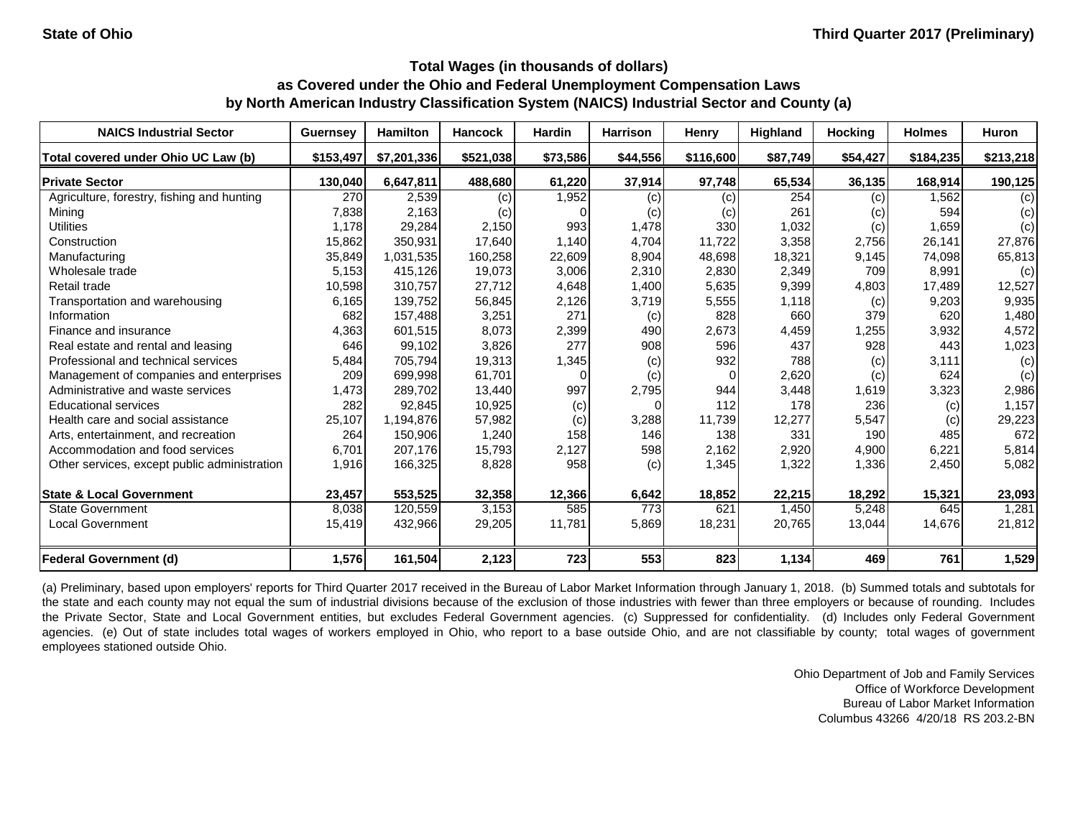| <b>NAICS Industrial Sector</b>               | <b>Guernsey</b> | <b>Hamilton</b> | <b>Hancock</b> | <b>Hardin</b> | <b>Harrison</b> | <b>Henry</b> | Highland | <b>Hocking</b> | <b>Holmes</b> | <b>Huron</b> |
|----------------------------------------------|-----------------|-----------------|----------------|---------------|-----------------|--------------|----------|----------------|---------------|--------------|
| Total covered under Ohio UC Law (b)          | \$153,497       | \$7,201,336     | \$521,038      | \$73,586      | \$44,556        | \$116,600    | \$87,749 | \$54,427       | \$184,235     | \$213,218    |
| <b>Private Sector</b>                        | 130,040         | 6,647,811       | 488,680        | 61,220        | 37,914          | 97,748       | 65,534   | 36,135         | 168,914       | 190,125      |
| Agriculture, forestry, fishing and hunting   | 270             | 2,539           | (c)            | 1,952         | (c)             | $\left( $    | 254      | (c)            | 1,562         | (c)          |
| Mining                                       | 7,838           | 2,163           | (c)            |               | (c)             | (c)          | 261      | (c)            | 594           | (c)          |
| <b>Utilities</b>                             | 1,178           | 29,284          | 2,150          | 993           | 1,478           | 330          | 1,032    | (c)            | 1,659         | (c)          |
| Construction                                 | 15,862          | 350,931         | 17,640         | 1,140         | 4,704           | 11,722       | 3,358    | 2,756          | 26,141        | 27,876       |
| Manufacturing                                | 35,849          | 1,031,535       | 160,258        | 22,609        | 8,904           | 48,698       | 18,321   | 9,145          | 74,098        | 65,813       |
| Wholesale trade                              | 5,153           | 415,126         | 19,073         | 3,006         | 2,310           | 2,830        | 2,349    | 709            | 8,991         | (c)          |
| Retail trade                                 | 10,598          | 310,757         | 27,712         | 4,648         | 1,400           | 5,635        | 9,399    | 4,803          | 17,489        | 12,527       |
| Transportation and warehousing               | 6,165           | 139,752         | 56,845         | 2,126         | 3,719           | 5,555        | 1,118    | (c)            | 9,203         | 9,935        |
| Information                                  | 682             | 157,488         | 3,251          | 271           | (c)             | 828          | 660      | 379            | 620           | 1,480        |
| Finance and insurance                        | 4,363           | 601,515         | 8,073          | 2,399         | 490             | 2,673        | 4,459    | 1,255          | 3,932         | 4,572        |
| Real estate and rental and leasing           | 646             | 99,102          | 3,826          | 277           | 908             | 596          | 437      | 928            | 443           | 1,023        |
| Professional and technical services          | 5,484           | 705,794         | 19,313         | 1,345         | (c)             | 932          | 788      | (c)            | 3,111         | (c)          |
| Management of companies and enterprises      | 209             | 699,998         | 61,701         |               | (c)             | <sup>n</sup> | 2,620    | (c)            | 624           | (c)          |
| Administrative and waste services            | 1,473           | 289,702         | 13,440         | 997           | 2,795           | 944          | 3,448    | 1,619          | 3,323         | 2,986        |
| <b>Educational services</b>                  | 282             | 92,845          | 10,925         | (c)           |                 | 112          | 178      | 236            | (c)           | 1,157        |
| Health care and social assistance            | 25,107          | 1,194,876       | 57,982         | (c)           | 3,288           | 11,739       | 12,277   | 5,547          | (c)           | 29,223       |
| Arts, entertainment, and recreation          | 264             | 150,906         | 1,240          | 158           | 146             | 138          | 331      | 190            | 485           | 672          |
| Accommodation and food services              | 6,701           | 207,176         | 15,793         | 2,127         | 598             | 2,162        | 2,920    | 4,900          | 6,221         | 5,814        |
| Other services, except public administration | 1,916           | 166,325         | 8,828          | 958           | (c)             | 1,345        | 1,322    | 1,336          | 2,450         | 5,082        |
| <b>State &amp; Local Government</b>          | 23,457          | 553,525         | 32,358         | 12,366        | 6,642           | 18,852       | 22,215   | 18,292         | 15,321        | 23,093       |
| <b>State Government</b>                      | 8,038           | 120,559         | 3,153          | 585           | 773             | 621          | 1,450    | 5,248          | 645           | 1,281        |
| <b>Local Government</b>                      | 15,419          | 432,966         | 29,205         | 11,781        | 5,869           | 18,231       | 20,765   | 13,044         | 14,676        | 21,812       |
| <b>Federal Government (d)</b>                | 1,576           | 161,504         | 2,123          | 723           | 553             | 823          | 1,134    | 469            | 761           | 1,529        |

(a) Preliminary, based upon employers' reports for Third Quarter 2017 received in the Bureau of Labor Market Information through January 1, 2018. (b) Summed totals and subtotals for the state and each county may not equal the sum of industrial divisions because of the exclusion of those industries with fewer than three employers or because of rounding. Includes the Private Sector, State and Local Government entities, but excludes Federal Government agencies. (c) Suppressed for confidentiality. (d) Includes only Federal Government agencies. (e) Out of state includes total wages of workers employed in Ohio, who report to a base outside Ohio, and are not classifiable by county; total wages of government employees stationed outside Ohio.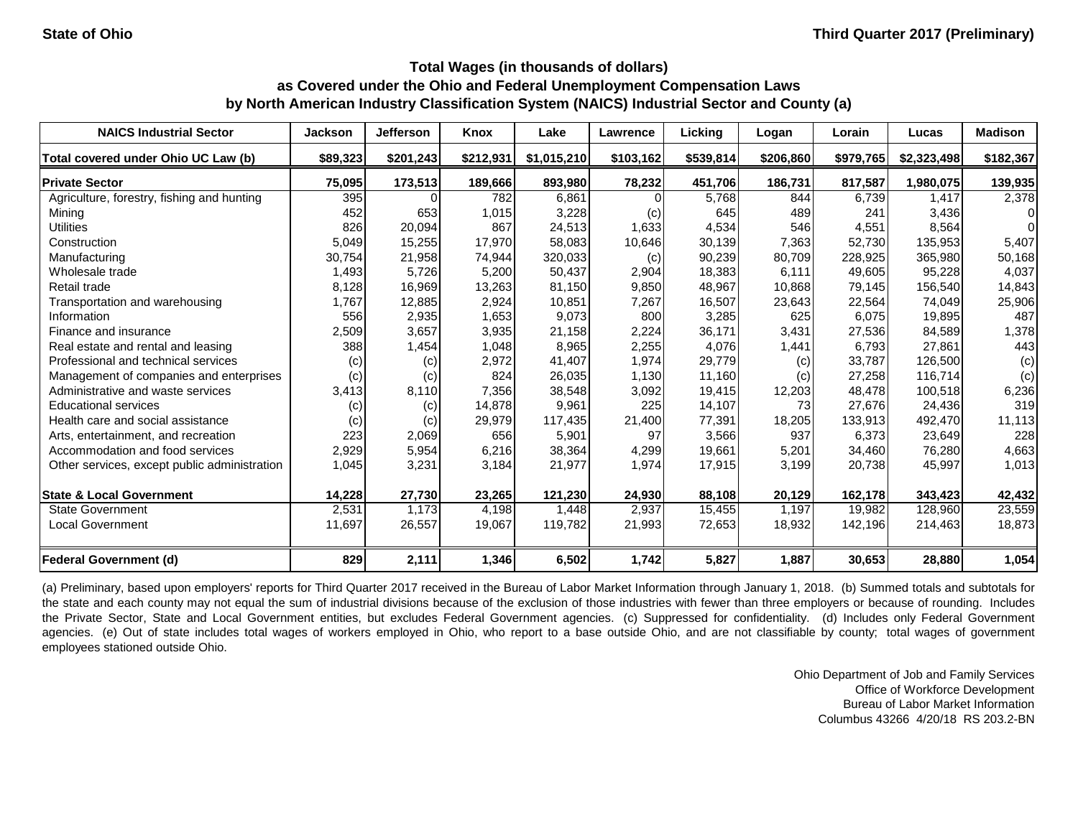| <b>NAICS Industrial Sector</b>               | <b>Jackson</b> | <b>Jefferson</b> | Knox      | Lake        | Lawrence  | Licking   | Logan     | Lorain    | Lucas       | <b>Madison</b> |
|----------------------------------------------|----------------|------------------|-----------|-------------|-----------|-----------|-----------|-----------|-------------|----------------|
| Total covered under Ohio UC Law (b)          | \$89,323       | \$201,243        | \$212,931 | \$1,015,210 | \$103,162 | \$539,814 | \$206,860 | \$979,765 | \$2,323,498 | \$182,367      |
| <b>Private Sector</b>                        | 75,095         | 173,513          | 189,666   | 893,980     | 78,232    | 451,706   | 186,731   | 817,587   | 1,980,075   | 139,935        |
| Agriculture, forestry, fishing and hunting   | 395            |                  | 782       | 6,861       |           | 5,768     | 844       | 6,739     | 1,417       | 2,378          |
| Mining                                       | 452            | 653              | 1,015     | 3,228       | (c)       | 645       | 489       | 241       | 3,436       | 0              |
| <b>Utilities</b>                             | 826            | 20,094           | 867       | 24,513      | 1,633     | 4,534     | 546       | 4,551     | 8,564       | $\Omega$       |
| Construction                                 | 5,049          | 15,255           | 17,970    | 58,083      | 10,646    | 30,139    | 7,363     | 52,730    | 135,953     | 5,407          |
| Manufacturing                                | 30,754         | 21,958           | 74,944    | 320,033     | (c)       | 90,239    | 80,709    | 228,925   | 365,980     | 50,168         |
| Wholesale trade                              | 1,493          | 5,726            | 5,200     | 50,437      | 2,904     | 18,383    | 6,111     | 49,605    | 95,228      | 4,037          |
| Retail trade                                 | 8,128          | 16,969           | 13,263    | 81,150      | 9,850     | 48,967    | 10,868    | 79,145    | 156,540     | 14,843         |
| Transportation and warehousing               | 1,767          | 12,885           | 2,924     | 10,851      | 7,267     | 16,507    | 23,643    | 22,564    | 74,049      | 25,906         |
| Information                                  | 556            | 2,935            | 1,653     | 9,073       | 800       | 3,285     | 625       | 6,075     | 19,895      | 487            |
| Finance and insurance                        | 2,509          | 3,657            | 3,935     | 21,158      | 2,224     | 36,171    | 3,431     | 27,536    | 84,589      | 1,378          |
| Real estate and rental and leasing           | 388            | 1,454            | 1,048     | 8,965       | 2,255     | 4,076     | 1,441     | 6,793     | 27,861      | 443            |
| Professional and technical services          | (c)            | (c)              | 2,972     | 41,407      | 1,974     | 29,779    | (c)       | 33,787    | 126,500     | (c)            |
| Management of companies and enterprises      | (c)            | (c)              | 824       | 26,035      | 1,130     | 11,160    | (c)       | 27,258    | 116,714     | (c)            |
| Administrative and waste services            | 3,413          | 8,110            | 7,356     | 38,548      | 3,092     | 19,415    | 12,203    | 48,478    | 100,518     | 6,236          |
| <b>Educational services</b>                  | (c)            | (c)              | 14,878    | 9,961       | 225       | 14,107    | 73        | 27,676    | 24,436      | 319            |
| Health care and social assistance            | (c)            | (c)              | 29,979    | 117,435     | 21,400    | 77,391    | 18,205    | 133,913   | 492,470     | 11,113         |
| Arts, entertainment, and recreation          | 223            | 2,069            | 656       | 5,901       | 97        | 3,566     | 937       | 6,373     | 23,649      | 228            |
| Accommodation and food services              | 2,929          | 5,954            | 6,216     | 38,364      | 4,299     | 19,661    | 5,201     | 34,460    | 76,280      | 4,663          |
| Other services, except public administration | 1,045          | 3,231            | 3,184     | 21,977      | 1,974     | 17,915    | 3,199     | 20,738    | 45,997      | 1,013          |
| <b>State &amp; Local Government</b>          | 14,228         | 27,730           | 23,265    | 121,230     | 24,930    | 88,108    | 20,129    | 162,178   | 343,423     | 42,432         |
| <b>State Government</b>                      | 2,531          | 1,173            | 4,198     | 1,448       | 2,937     | 15,455    | 1,197     | 19,982    | 128,960     | 23,559         |
| <b>Local Government</b>                      | 11,697         | 26,557           | 19,067    | 119,782     | 21,993    | 72,653    | 18,932    | 142,196   | 214,463     | 18,873         |
| <b>Federal Government (d)</b>                | 829            | 2,111            | 1,346     | 6,502       | 1,742     | 5,827     | 1,887     | 30,653    | 28,880      | 1,054          |

(a) Preliminary, based upon employers' reports for Third Quarter 2017 received in the Bureau of Labor Market Information through January 1, 2018. (b) Summed totals and subtotals for the state and each county may not equal the sum of industrial divisions because of the exclusion of those industries with fewer than three employers or because of rounding. Includes the Private Sector, State and Local Government entities, but excludes Federal Government agencies. (c) Suppressed for confidentiality. (d) Includes only Federal Government agencies. (e) Out of state includes total wages of workers employed in Ohio, who report to a base outside Ohio, and are not classifiable by county; total wages of government employees stationed outside Ohio.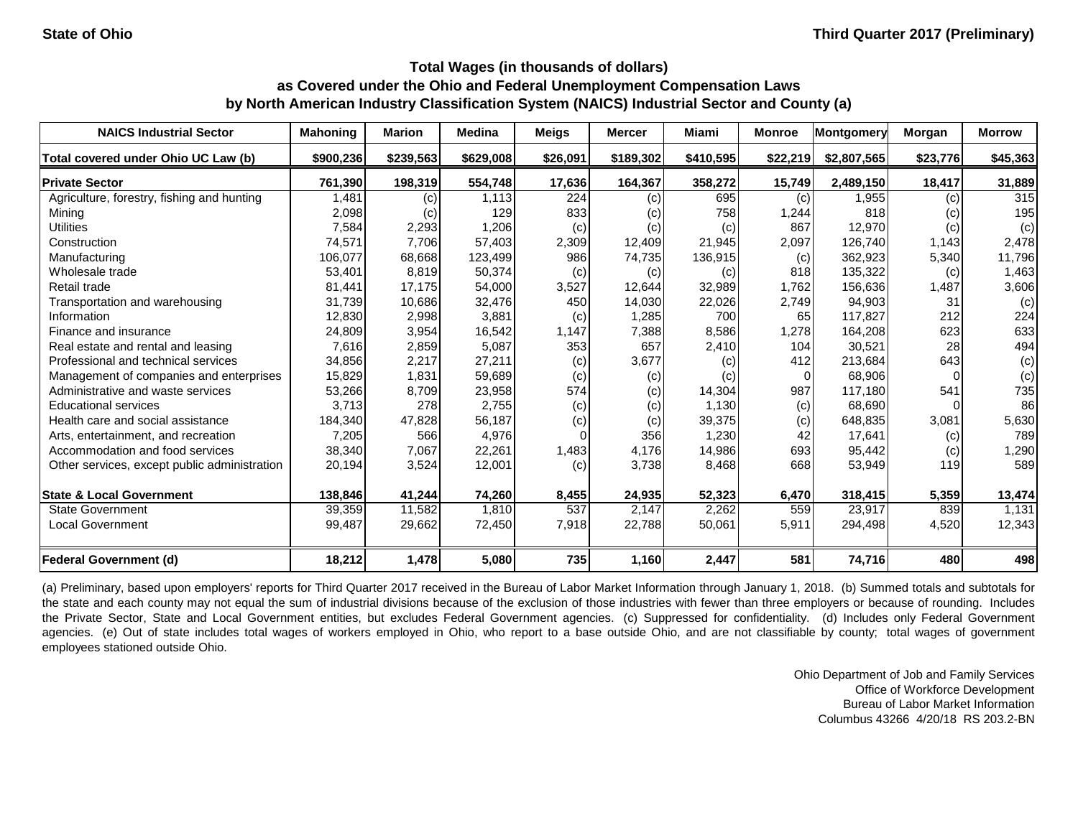| <b>NAICS Industrial Sector</b>               | <b>Mahoning</b> | <b>Marion</b> | <b>Medina</b> | <b>Meigs</b> | <b>Mercer</b> | Miami     | <b>Monroe</b> | Montgomery  | Morgan   | <b>Morrow</b> |
|----------------------------------------------|-----------------|---------------|---------------|--------------|---------------|-----------|---------------|-------------|----------|---------------|
| Total covered under Ohio UC Law (b)          | \$900,236       | \$239,563     | \$629,008     | \$26,091     | \$189,302     | \$410,595 | \$22,219      | \$2,807,565 | \$23,776 | \$45,363      |
| <b>Private Sector</b>                        | 761,390         | 198,319       | 554,748       | 17,636       | 164,367       | 358,272   | 15,749        | 2,489,150   | 18,417   | 31,889        |
| Agriculture, forestry, fishing and hunting   | 1,481           | (c)           | 1,113         | 224          | (c)           | 695       | (c)           | 1,955       | (c)      | 315           |
| Mining                                       | 2,098           | (c)           | 129           | 833          | (c)           | 758       | 1,244         | 818         | (c)      | 195           |
| <b>Utilities</b>                             | 7,584           | 2,293         | 1,206         | (c)          | (c)           | (c)       | 867           | 12,970      | (c)      | (c)           |
| Construction                                 | 74,571          | 7,706         | 57,403        | 2,309        | 12,409        | 21,945    | 2,097         | 126,740     | 1,143    | 2,478         |
| Manufacturing                                | 106,077         | 68,668        | 123,499       | 986          | 74,735        | 136,915   | (c)           | 362,923     | 5,340    | 11,796        |
| Wholesale trade                              | 53,401          | 8,819         | 50,374        | (c)          | (c)           | (c)       | 818           | 135,322     | (c)      | 1,463         |
| Retail trade                                 | 81,441          | 17,175        | 54,000        | 3,527        | 12,644        | 32,989    | 1,762         | 156,636     | 1,487    | 3,606         |
| Transportation and warehousing               | 31,739          | 10,686        | 32,476        | 450          | 14,030        | 22,026    | 2,749         | 94,903      | 31       | (c)           |
| Information                                  | 12,830          | 2,998         | 3,881         | (c)          | 1,285         | 700       | 65            | 117,827     | 212      | 224           |
| Finance and insurance                        | 24,809          | 3,954         | 16,542        | 1,147        | 7,388         | 8,586     | 1,278         | 164,208     | 623      | 633           |
| Real estate and rental and leasing           | 7,616           | 2,859         | 5,087         | 353          | 657           | 2,410     | 104           | 30,521      | 28       | 494           |
| Professional and technical services          | 34,856          | 2,217         | 27,211        | (c)          | 3,677         | (c)       | 412           | 213,684     | 643      | (c)           |
| Management of companies and enterprises      | 15,829          | 1,831         | 59,689        | (c)          | (c)           | (c)       |               | 68,906      |          | (c)           |
| Administrative and waste services            | 53,266          | 8,709         | 23,958        | 574          | (c)           | 14,304    | 987           | 117,180     | 541      | 735           |
| <b>Educational services</b>                  | 3,713           | 278           | 2,755         | (c)          | (c)           | 1,130     | (c)           | 68,690      |          | 86            |
| Health care and social assistance            | 184,340         | 47,828        | 56,187        | (c)          | (c)           | 39,375    | (c)           | 648,835     | 3,081    | 5,630         |
| Arts, entertainment, and recreation          | 7,205           | 566           | 4,976         |              | 356           | 1,230     | 42            | 17,641      | (c)      | 789           |
| Accommodation and food services              | 38,340          | 7,067         | 22,261        | 1,483        | 4,176         | 14,986    | 693           | 95,442      | (c)      | 1,290         |
| Other services, except public administration | 20,194          | 3,524         | 12,001        | (c)          | 3,738         | 8,468     | 668           | 53,949      | 119      | 589           |
| <b>State &amp; Local Government</b>          | 138,846         | 41,244        | 74,260        | 8,455        | 24,935        | 52,323    | 6,470         | 318,415     | 5,359    | 13,474        |
| <b>State Government</b>                      | 39,359          | 11,582        | 1,810         | 537          | 2,147         | 2,262     | 559           | 23,917      | 839      | 1,131         |
| <b>Local Government</b>                      | 99,487          | 29,662        | 72,450        | 7,918        | 22,788        | 50,061    | 5,911         | 294,498     | 4,520    | 12,343        |
| <b>Federal Government (d)</b>                | 18,212          | 1,478         | 5,080         | 735          | 1,160         | 2,447     | 581           | 74,716      | 480      | 498           |

(a) Preliminary, based upon employers' reports for Third Quarter 2017 received in the Bureau of Labor Market Information through January 1, 2018. (b) Summed totals and subtotals for the state and each county may not equal the sum of industrial divisions because of the exclusion of those industries with fewer than three employers or because of rounding. Includes the Private Sector, State and Local Government entities, but excludes Federal Government agencies. (c) Suppressed for confidentiality. (d) Includes only Federal Government agencies. (e) Out of state includes total wages of workers employed in Ohio, who report to a base outside Ohio, and are not classifiable by county; total wages of government employees stationed outside Ohio.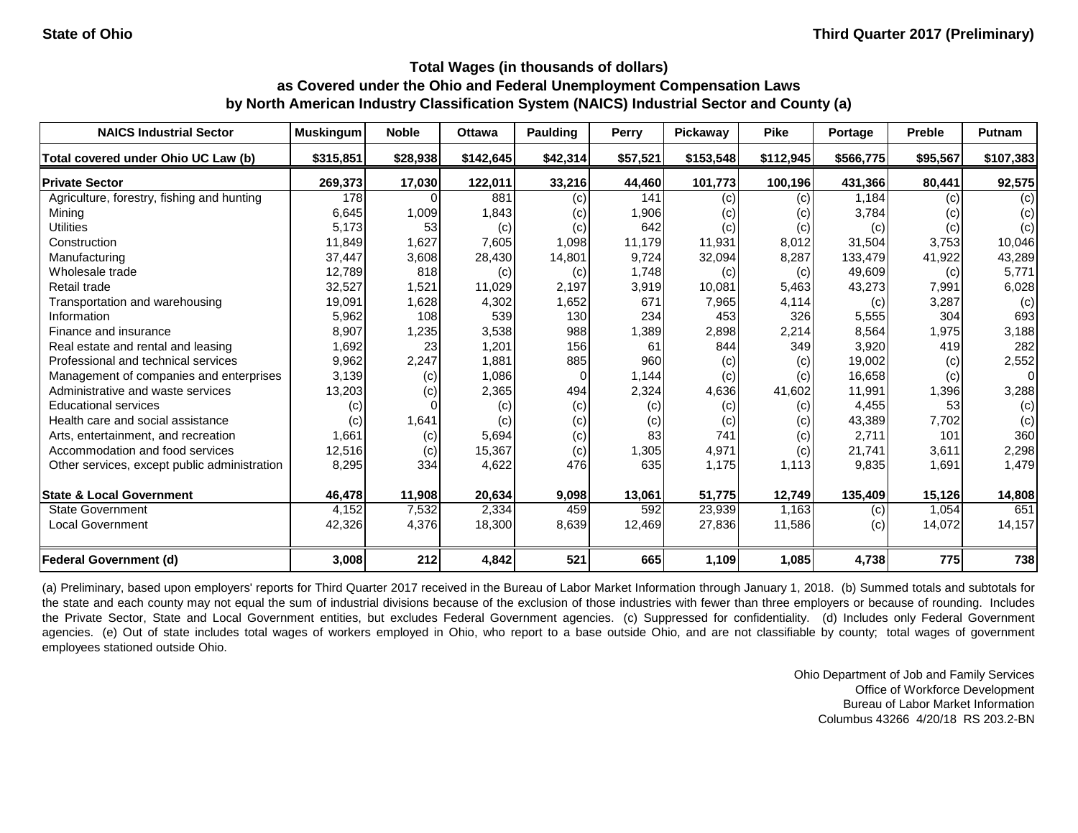| <b>NAICS Industrial Sector</b>               | <b>Muskingum</b> | <b>Noble</b> | <b>Ottawa</b> | Paulding | <b>Perry</b> | Pickaway  | <b>Pike</b> | Portage   | <b>Preble</b> | <b>Putnam</b>  |
|----------------------------------------------|------------------|--------------|---------------|----------|--------------|-----------|-------------|-----------|---------------|----------------|
| Total covered under Ohio UC Law (b)          | \$315,851        | \$28,938     | \$142,645     | \$42,314 | \$57,521     | \$153,548 | \$112,945   | \$566,775 | \$95,567      | \$107,383      |
| <b>Private Sector</b>                        | 269,373          | 17,030       | 122,011       | 33,216   | 44,460       | 101,773   | 100,196     | 431,366   | 80,441        | 92,575         |
| Agriculture, forestry, fishing and hunting   | 178              |              | 881           | (c)      | 141          | (c)       | (c)         | 1,184     | (c)           | (c)            |
| Mining                                       | 6,645            | 1,009        | 1,843         | (c)      | 1,906        | (C)       | (c)         | 3,784     | (c)           | (c)            |
| <b>Utilities</b>                             | 5,173            | 53           | (c)           | (c)      | 642          | (c)       | (c)         | (c)       | (c)           | (c)            |
| Construction                                 | 11,849           | 1,627        | 7,605         | 1,098    | 11,179       | 11,931    | 8,012       | 31,504    | 3,753         | 10,046         |
| Manufacturing                                | 37,447           | 3,608        | 28,430        | 14,801   | 9,724        | 32,094    | 8,287       | 133,479   | 41,922        | 43,289         |
| Wholesale trade                              | 12,789           | 818          | (c)           | (c)      | 1,748        | (c)       | (c)         | 49,609    | (c)           | 5,771          |
| Retail trade                                 | 32,527           | 1,521        | 11,029        | 2,197    | 3,919        | 10,081    | 5,463       | 43,273    | 7,991         | 6,028          |
| Transportation and warehousing               | 19,091           | 1,628        | 4,302         | 1,652    | 671          | 7,965     | 4,114       | (c)       | 3,287         | (c)            |
| Information                                  | 5,962            | 108          | 539           | 130      | 234          | 453       | 326         | 5,555     | 304           | 693            |
| Finance and insurance                        | 8,907            | 1,235        | 3,538         | 988      | 1,389        | 2,898     | 2,214       | 8,564     | 1,975         | 3,188          |
| Real estate and rental and leasing           | 1,692            | 23           | 1,201         | 156      | 61           | 844       | 349         | 3,920     | 419           | 282            |
| Professional and technical services          | 9,962            | 2,247        | 1,881         | 885      | 960          | (c)       | (c)         | 19,002    | (c)           | 2,552          |
| Management of companies and enterprises      | 3,139            | (c)          | 1,086         |          | 1,144        | (c)       | (c)         | 16,658    | (c)           | $\overline{0}$ |
| Administrative and waste services            | 13,203           | (c)          | 2,365         | 494      | 2,324        | 4,636     | 41,602      | 11,991    | 1,396         | 3,288          |
| <b>Educational services</b>                  | (c)              |              | (c)           | (c)      | (c)          | (c)       | (c)         | 4,455     | 53            | (c)            |
| Health care and social assistance            | (c)              | 1,641        | (c)           | (c)      | (c)          | (c)       | (c)         | 43,389    | 7,702         | (c)            |
| Arts, entertainment, and recreation          | 1,661            | (c)          | 5,694         | (c)      | 83           | 741       | (c)         | 2,711     | 101           | 360            |
| Accommodation and food services              | 12,516           | (c)          | 15,367        | (c)      | 1,305        | 4,971     | (c)         | 21,741    | 3,611         | 2,298          |
| Other services, except public administration | 8,295            | 334          | 4,622         | 476      | 635          | 1,175     | 1,113       | 9,835     | 1,691         | 1,479          |
| <b>State &amp; Local Government</b>          | 46,478           | 11,908       | 20,634        | 9,098    | 13,061       | 51,775    | 12,749      | 135,409   | 15,126        | 14,808         |
| <b>State Government</b>                      | 4,152            | 7,532        | 2,334         | 459      | 592          | 23,939    | 1,163       | (c)       | 1,054         | 651            |
| <b>Local Government</b>                      | 42,326           | 4,376        | 18,300        | 8,639    | 12,469       | 27,836    | 11,586      | (c)       | 14,072        | 14,157         |
| <b>Federal Government (d)</b>                | 3,008            | 212          | 4,842         | 521      | 665          | 1,109     | 1,085       | 4,738     | 775           | 738            |

(a) Preliminary, based upon employers' reports for Third Quarter 2017 received in the Bureau of Labor Market Information through January 1, 2018. (b) Summed totals and subtotals for the state and each county may not equal the sum of industrial divisions because of the exclusion of those industries with fewer than three employers or because of rounding. Includes the Private Sector, State and Local Government entities, but excludes Federal Government agencies. (c) Suppressed for confidentiality. (d) Includes only Federal Government agencies. (e) Out of state includes total wages of workers employed in Ohio, who report to a base outside Ohio, and are not classifiable by county; total wages of government employees stationed outside Ohio.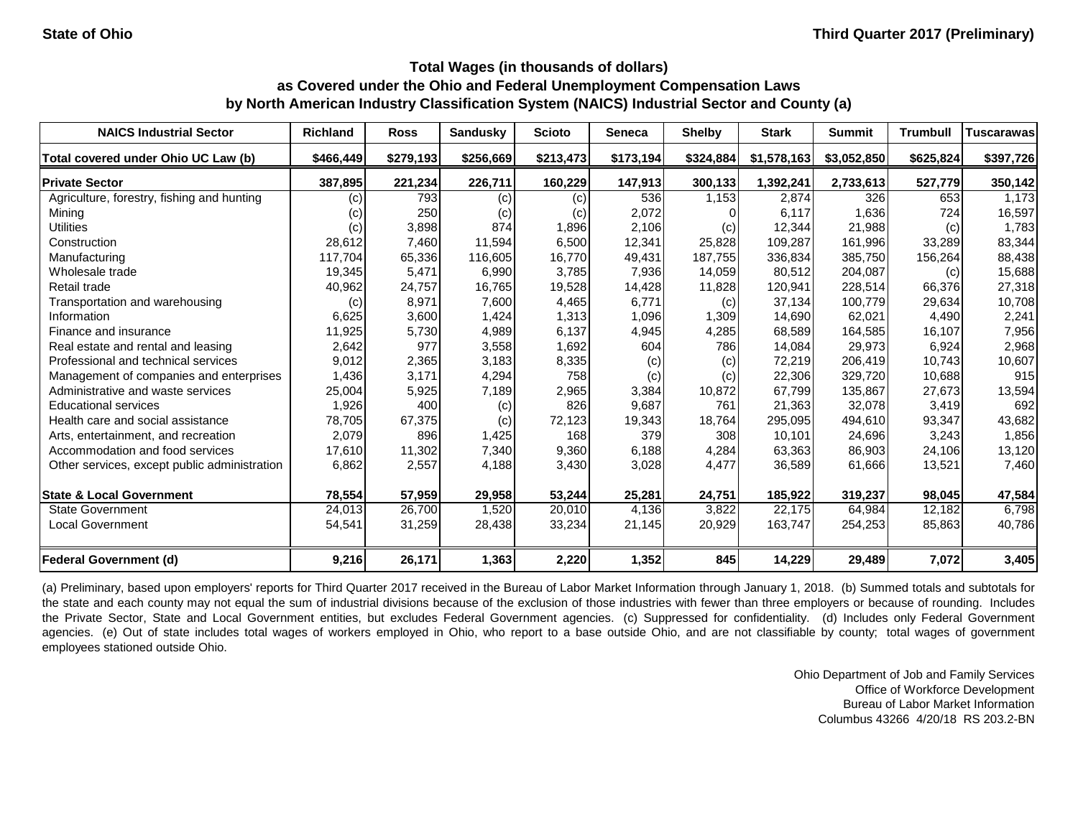| <b>NAICS Industrial Sector</b>               | <b>Richland</b> | <b>Ross</b> | <b>Sandusky</b> | <b>Scioto</b> | <b>Seneca</b> | <b>Shelby</b> | <b>Stark</b> | <b>Summit</b> | <b>Trumbull</b> | <b>Tuscarawas</b> |
|----------------------------------------------|-----------------|-------------|-----------------|---------------|---------------|---------------|--------------|---------------|-----------------|-------------------|
| Total covered under Ohio UC Law (b)          | \$466,449       | \$279,193   | \$256,669       | \$213,473     | \$173,194     | \$324,884     | \$1,578,163  | \$3,052,850   | \$625,824       | \$397,726         |
| <b>Private Sector</b>                        | 387,895         | 221,234     | 226,711         | 160,229       | 147,913       | 300,133       | 1,392,241    | 2,733,613     | 527,779         | 350,142           |
| Agriculture, forestry, fishing and hunting   | (c)             | 793         | (c)             | (c)           | 536           | 1,153         | 2,874        | 326           | 653             | 1,173             |
| Mining                                       | (c)             | 250         | (c)             | (c)           | 2,072         |               | 6,117        | 1,636         | 724             | 16,597            |
| <b>Utilities</b>                             | (c)             | 3,898       | 874             | 1,896         | 2,106         | (c)           | 12,344       | 21,988        | (c)             | 1,783             |
| Construction                                 | 28,612          | 7,460       | 11,594          | 6,500         | 12,341        | 25,828        | 109,287      | 161,996       | 33,289          | 83,344            |
| Manufacturing                                | 117,704         | 65,336      | 116,605         | 16,770        | 49,431        | 187,755       | 336,834      | 385,750       | 156,264         | 88,438            |
| Wholesale trade                              | 19,345          | 5,471       | 6,990           | 3,785         | 7,936         | 14,059        | 80,512       | 204,087       | (c)             | 15,688            |
| Retail trade                                 | 40,962          | 24,757      | 16,765          | 19,528        | 14,428        | 11,828        | 120,941      | 228,514       | 66,376          | 27,318            |
| Transportation and warehousing               | (c)             | 8,971       | 7,600           | 4,465         | 6,771         | (c)           | 37,134       | 100,779       | 29,634          | 10,708            |
| Information                                  | 6,625           | 3,600       | 1,424           | 1,313         | 1,096         | 1,309         | 14,690       | 62,021        | 4,490           | 2,241             |
| Finance and insurance                        | 11,925          | 5,730       | 4,989           | 6,137         | 4,945         | 4,285         | 68,589       | 164,585       | 16,107          | 7,956             |
| Real estate and rental and leasing           | 2,642           | 977         | 3,558           | 1,692         | 604           | 786           | 14,084       | 29,973        | 6,924           | 2,968             |
| Professional and technical services          | 9,012           | 2,365       | 3,183           | 8,335         | (c)           | (c)           | 72,219       | 206,419       | 10,743          | 10,607            |
| Management of companies and enterprises      | 1,436           | 3,171       | 4,294           | 758           | (c)           | (c)           | 22,306       | 329,720       | 10,688          | 915               |
| Administrative and waste services            | 25,004          | 5,925       | 7,189           | 2,965         | 3,384         | 10,872        | 67,799       | 135,867       | 27,673          | 13,594            |
| <b>Educational services</b>                  | 1,926           | 400         | (c)             | 826           | 9,687         | 761           | 21,363       | 32,078        | 3,419           | 692               |
| Health care and social assistance            | 78,705          | 67,375      | (c)             | 72,123        | 19,343        | 18,764        | 295,095      | 494,610       | 93,347          | 43,682            |
| Arts, entertainment, and recreation          | 2,079           | 896         | 1,425           | 168           | 379           | 308           | 10,101       | 24,696        | 3,243           | 1,856             |
| Accommodation and food services              | 17,610          | 11,302      | 7,340           | 9,360         | 6,188         | 4,284         | 63,363       | 86,903        | 24,106          | 13,120            |
| Other services, except public administration | 6,862           | 2,557       | 4,188           | 3,430         | 3,028         | 4,477         | 36,589       | 61,666        | 13,521          | 7,460             |
| <b>State &amp; Local Government</b>          | 78,554          | 57,959      | 29,958          | 53,244        | 25,281        | 24,751        | 185,922      | 319,237       | 98,045          | 47,584            |
| <b>State Government</b>                      | 24,013          | 26,700      | 1,520           | 20,010        | 4,136         | 3,822         | 22,175       | 64,984        | 12,182          | 6,798             |
| <b>Local Government</b>                      | 54,541          | 31,259      | 28,438          | 33,234        | 21,145        | 20,929        | 163,747      | 254,253       | 85,863          | 40,786            |
| <b>Federal Government (d)</b>                | 9,216           | 26,171      | 1,363           | 2,220         | 1,352         | 845           | 14,229       | 29,489        | 7,072           | 3,405             |

(a) Preliminary, based upon employers' reports for Third Quarter 2017 received in the Bureau of Labor Market Information through January 1, 2018. (b) Summed totals and subtotals for the state and each county may not equal the sum of industrial divisions because of the exclusion of those industries with fewer than three employers or because of rounding. Includes the Private Sector, State and Local Government entities, but excludes Federal Government agencies. (c) Suppressed for confidentiality. (d) Includes only Federal Government agencies. (e) Out of state includes total wages of workers employed in Ohio, who report to a base outside Ohio, and are not classifiable by county; total wages of government employees stationed outside Ohio.